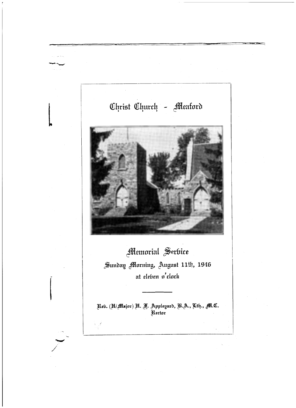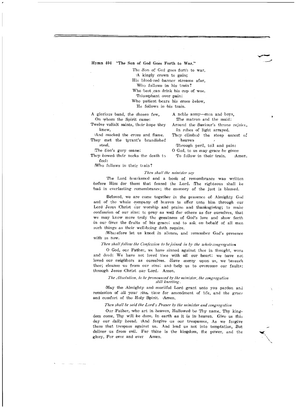## Hymn 404 "The Son of God Goes Forth to War."

The Son of God goes forth to war,

A kingly crown to gain;

His blood-red banner streams afar.

Who follows in his train?

Who best can drink his cup of woe,

Triumphant over pain:

Who patient bears his cross below,

He follows in his train.

A glorious band, the chosen few, On whom the Spirit came:

Twelve valialt saints, their hope they knew.

(And mocked the cross and flame. They met the tyrant's brandished steel.

The lion's gory mane;

They bowed their necks the death to feel:

Who follows in their train?

#### Then shall the minister say

The Lord hearkened and a book of remembrance was written ibefore Him for them that feared the Lord. The nighteous shall be thad in everlasting remembrance; the memony of the just is blessed.

Beloved, we are come together in the presence of Abmighty God and of the whole company of heaven to offer unto him through our Lord Jesus Christ cur worship and praise and thanksgiving; to make confession of our sins; to pray as well for others as for ourselves, that we may know more truly the greatness of God's love and show forth in our lives the firuits of his grace; and to ask, on behalf of all men such things as their well-being doth require.

Wherefore let us kneel in silence, and remember God's presence with us now.

# Then shall follow the Confession to be joined in by the whole congregation

O God, our Father, we have sinned against thee in thought, word and deed: We have not loved thee with all our heart; we have not loved our neighbors as ourselves. Have mercy upon us, we beseech thee; cleanse us from our sins; and thelp us to overcome our faults; through Jesus Christ our Lord. Amen.

#### The Absolution, to be pronounced by the minister, the congregation still kneeling.

May the Almighty and meriful Lord grant unto you pardon and remussion of all your sins, time for amendment of life, and the grace and comfort of the Holy Spirit. Amen.

## Then shall be said the Lord's Prayer by the minister and congregation

Our Father, who art in heaven, Hallowed be Thy name, Thy kingdom come, Thy will be done, In earth as it is in heaven. Give us this day our daily bread. And forgive us our trespasses, As we forgive them that trespass against us. And lead us not into temptation, But deliver us throm evil. For thine is the kingdom, the power, and the glory, For ever and ever Amen.

The matron and the maid; Around the Saviour's throne rejoice, In rcbes of light arrayed.

A noble army-men and boys,

They climbed the steep ascent of heaven

Through peril, toil and pain:

O God, to us may grace be given

To follow in their train. Amen.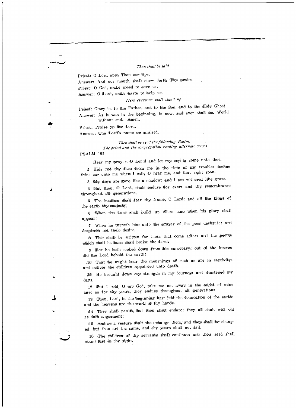#### Then shall be said

Priest: O Lord open Thou our lips.

Answer: And our mouth shall shew forth Thy praise.

Pniest: O God, make speed to save us.

Answer: O Lord, make haste to help us.

# Here everyone shall stand np

Priest: Glony be to the Father, and to the Son, and to the Holy Ghost. Answer: As it was in the beginning, is now, and ever shall be. World without end. Amen.

Priest: Praise ye the Lord.

Answer: The Lord's name be praised.

# Then shall be read the following Psalm. The priest and the congregation reading alternate verses

## PSALM 102

لا

Hear my prayer, O Lor:d and let my crying come unto thee.

2 iHide not thy face from me in the time of my trouble: incline thine ear unto me when I call; O hear me, and that right soon.

[3] My days are gone like a shadow: and I am withered like grass.

4 But thou, O Lord, shall endure for ever: and thy remembrance throughout all generations.

5 The heathem shall fear thy Name, O Lord: and all the kings of the earth thy majesty;

6 When the Lord shall build up Sion: and when his glory shall appear;

7 When he turneth him unto the prayer of the poor destitute: and despiseth not their desire.

8 This shall be written for those that come after: and the people which shall be born shall praise the Lord.

9 For he hath looked down from his sanctuary: out of the heaven did the Lord behold the earth;

.10 That he might hear the mournings of such as are in captivity: and deliver the children appointed unto death.

111 He brought down my strength in my journey: and shortened my days.

112 But I said, O my God, take me not away in the midst of mine age: as for thy years, they endure throughout all generations.

(13 Thou, Lord, in the beginning hast laid the foundation of the earth: and the heavens are the work of thy hands.

(14 They shall penish, but thou shall endure: they all shall wax old as doth a garment;

115 And as a vesture shalt thou change them, and they shall be changed: but thou art the same, and thy wears shall not fail.

16 The children of thy servants shall continue: and their seed shall stand fast in thy sight.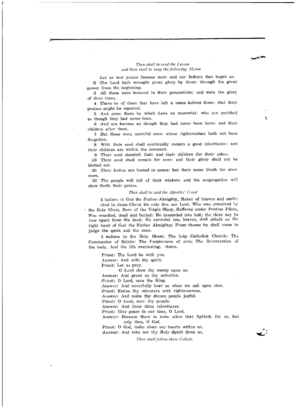## Then shall be read the Lesson and then shall be sung the following Hymn

Let us now praise famous men: and our fathers that begat us. 2 The Lord hath wrought great glory by them: through his great power from the beginning.

3 All these were honored in their generations: and were the glory of their times.

4 There be of them that have left a name behind them: that their praises might be reported.

5 And some there be which have no memorial: who are perished as though they had never been.

6 And are become as though they had never been born: and their children after them.

7 But these were merciful men: whose righteousless hath not been fongotten.

8 With their seed shall continually remiain a good inheritance: and their children are within the covenant.

9 Their seed standeth fast: and their children for their sakes.

10 Their seed shall remain for even: and their glory shall not be blotted out.

[11] Their bodies are buried in peace: but their name liveth for evermore.

(12 The people will tell of their wisdom: and the congregation will shew florth their praise.

#### Then shall be said the Apostles' Creed

I believe in God the Father Almighty, Maker of heaven and earth: And in Jesus Christ his enly Son our Lord, Who was conceived by - the Holy Ghost, Born of the Virgin Many, Suffered under Pontius Pilate, Was crucified, dead and buried: He descended into hell; the third day he rose again from the dead; He ascended into heaven, And sitteth on the right hand of God the Father Almighty; From thence he shall come to judge the quick and the dead.

I believe in the Holy Ghost; The holy Catholick Church; The Communion of Saints; The Forgiveness of sins; The Resurrection of the body, And the life everlasting. Amen.

Priest: The Lord be with you.

Answer: And with thy spirit.

Pniest: Let us pray.

O Lord shew thy mercy upon us.

Answer: And grant us thy salvation.

Priest: O Lord, save the King.

Amswer: And mencifully heart us when we call upon thee.

Priest: Endue thy ministers with righteousness.

Answer: And make thy chosen people joyful.

Priest: O Lord, save thy people.

Answer: And bless thine inheritance.

Priest: Give peace in our time, O Lord.

Answer: Because there is none other that fighteth for us, but only thou, O God.

Priest: O God, make clean our hearts within us. Answer: And take not thy Holy Spirit crom us.

Then shall follow three Collects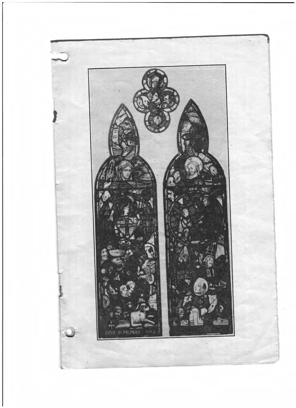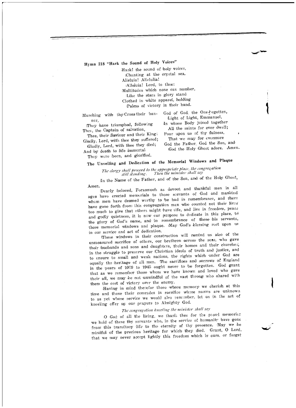# Hymn 218 "Hark the Sound of Holy Voices"

Hank! the sound of holy voices, (Chanting at the crystal sea, Alleluia! Allelulia! (Alleluia! Lord, to thee:

Multitudes which none can number,

Like the stars in glory stand

Clothed in white apparel, holding Palms of victory in their hand.

Marching with thy Cross their banner.

They have triumphed, following These, the Captain of salvation,

Thee, their Saviour and their King; Ghadly, Lord, with thee they suffered;

Gladby, Lord, with thee they died; And by death to life immortal

They were born, and glorified.

God of God, the One-begotten, Light of Light, Emmanuel,

In whose Body joined together All the saints for ever dwell;

Pour upon us of thy fulness, That we may for evermore

God the Father, God the Son, and God the Holy Ghost adore. Amen.

# The Unveiling and Dedication of the Memorial Windows and Plaque

The clergy shall proceed to the appropriate place, the congregation still standing. Then the minister shall say

In the Name of the Father, and of the Son, and of the Holy Ghost, Amen.

Dearly beloved, Forasmuch as devout and thankful men in all ages have erected memorials to those senvants of God and mankind whem men have deemed worthy to be had in remembrance, and there have gone forth from this congregation men who counted not their lives too much to give that others might have sife, and live in freedom, peace and godly quietness, it is now our purpose to dedicate in this place, to the glory of God's name, and in remembrance of these his servants, these memorial windows and plaque. May God's blessing rest upon us in our service and act of dedication.

These windows in their construction will remind us also of the unmeasured sacrifice of others, our brethren across the seas, who gave their thusbands and sons and daughters, their homes and their churches; in the struggle to preserve our Christian ideals of truth and justice, and to ensure to small and weak nations, the rights which under God are equally the heritage of all men. The sacrifices and sorrows of England in the years of 1939 to 1945 ought never to be forgotten. God grant that as we remember those whom we have known and loved who gave their all, we may be mot unmindful of the vast throng who shared with them the cost of victory over the enemy.

Having in mind therefor those whose memory we cherish at this time and those their comrades in sacrifice whose names are unknown to us yet whose service we would also remember, let us in the act of kneeling offer up our prayers to Almighty God.

# The congregation kneeling the minister shall say

O God of all the living, we thank thee for the proud memories we hold of these thy servants who, in the service of humanity have gone from this transitory life to the eternity of thy presence. May we be mindful of the precious heritage for which they died. Grant, O Lord. that we may never accept lightly this freedom which is ours, or forget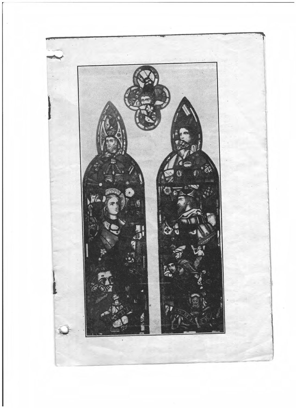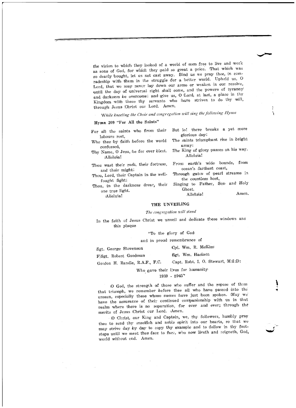the vision to which they looked of a world of men free to live and work as sons of God, for which they paid so great a price. That which was so dearly bought, let us not cast away. Bind us we pray thee, in comradeship with them in the struggle for a better world. Uphold us, O Lord, that we may never lay down our arms or weaken in our resolve, until the day of universal right shall come, and the powers of tyranny and darkness be overcome; and give us, O Lord, at last, a place in thy Kingdom with these thy servants who have striven to do thy will, through Jesus Christ our Lord. Amen.

While kneeling the Choir and congregation will sing the following Hymn

# Hymn 209 "For All the Saints"

For all the saints who from their labours rest.

- Who thee by faith before the world confessed.
- Thy Name, O Jesu, be for ever blest. Alleluia!

Thou wast their rock, their fortress, and their might;

Thou, Lord, their Captain in the wellfought fight;

Thou, in the darkness drear, their one true light.

Alleluia!

But lo! there breaks a yet more glorious day;

١

The saints triumphant rise in briight array:

The King of glory passes on his way. Alleluia!

From earth's wide bounds, from ocean's flarthest coast,

Through gates of pearl streams in the countless host.

Singing to Father, Son and Holy Ghost,

Alleluia!

Amen.

# THE UNVEILING

#### The congregation will stand

In the faith of Jesus Christ we unveil and dedicate these windows and this plaque

"To the glory of God

and in proud remembrance of

Cpl. Wm. R. McKim Set. George Stevenson

Sgt. Wm. Hackett F Sgt. Robert Goodman

Capt. Robt. I. O. Stewart, M:I:D: Goudon H. Randle, R.A.F., F.C.

Who gave their lives for humanity

#### 1939 - 1945"

O God, the strength of those who suffer and the repose of them that triumph, we remember before thee all who have passed into the unseen, especially these whose mames have just been spoken. May we have the assurance of their continued companionship with us in that realm where there is no separation, for ever and ever; through the merits of Jesus Christ cur Lord. Amen.

O Christ, our King and Captain, we, thy followers, humbly pray thee to send thy mselfish and noble spirit into our hearts, so that we may strive day by day to copy thy example and to follow in thy footsteps until we meet thee face to face, who now liveth and reigneth, God, world without end. Amen.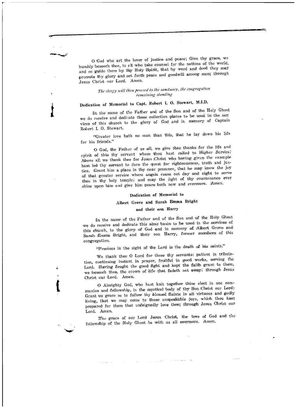O God who art the lover of justice and peace; Give thy grace, we humbly beseech thee, to all who take counsel for the nations of the world, and so guide them by thy Holy Spinit, that by word and deed they may promote thy glory and set forth peace and goodwill among men; through Jesus Christ our Lord. Amen.

# The clergy will then proceed to the sanctuary, the congregation remaining standing

# Dedication of Memorial to Capt. Robert I. O. Stewart, M.I.D.

In the name of the Father and of the Son and of the Holy Ghost we do receive and dedicate these collection plates to be used in the ser, vices of this church to the glory of God and in memory of Captain Robert I. O. Stewart.

"Greater love hath no man than this, that he lay down his life for his friends."

O God, the Father of us all, we give thee thanks for the life and spirit of this thy servant whom thou hast called to Higher Service. Above all we thank thee for Jesus (Christ who having given the example hast led thy servant to dare the quest for righteousness, truth and justice. Grant him a place in thy near presence, that he may know the joy of that greater service where angels cease not day and night to serve thee in thy holy temple; and may the iight of thy countenance ever shine upon him and give him peace both now and evermore. Amen.

#### Dedication of Memorial to

# Albert Grove and Sarah Emma Bright

#### and their son Harry

In the name of the Father and of the Son and of the Holy Ghost we do receive and dedicate this alms basin to be used in the services of this churich, to the glory of God and in memory of Albert Grove and Sanah Emma Bright, and their son Harry, former members of this congregation.

"Precious in the sight of the Lord is the death of his saints."

We thank thee O Lord for these thy servants: patient in tribulation, continuing instant in prayer, fruitful in good works, serving the Lord. Having fought the good fight and kept the faith grant to them, we beseech thee, the crown of life that fadeth not away; through Jesus Christ our Lord. Amen.

O Almnighty God, who hast knit together thine elect in one communion and fellowship, in the mystical body of thy Son Chnist our Lord: Grant us grace so to follow thy blessed Saints in all virtuous and godly living, that we may come to those unspeakable joys, which thou hast prepared for them that unfeignedly love thee; through Jesus Christ our Lord. Amen.

The grace of our Lord Jesus Christ, the love of God and the fellowship of the Holy Ghost be with us all evermore. Amen.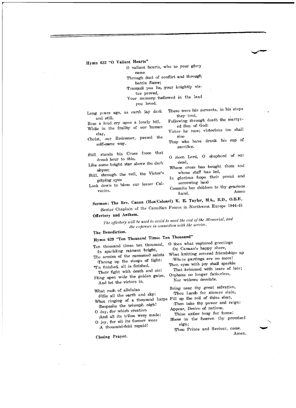# Hymn 632 "O Valiant Hearts"

O valiant hearts, who to your glory came

Through dust of conflict and through

battle flame; Tranquil you lie, your knightly vir-

tue proved.

Your memory thallowed in the land

you loved.

Long years ago, as earth lay dark and still,

Rose a loud cry upon a lonely hill, While in the frailty of our human clav.

Christ, our Redeemer, passed the sellf-same way.

Still stands his Cross from that dread hour to this,

Like some briight star above the dark abytss;

Still, through the veil, the Victor's pittying eyes

Look down to bless our lesser Calvaries.

These were this servants, in his steps they trod,

- Following through death the martyred Son of God:
- Victor the rose; victorious too shall rise
- They who have drunk his cup of sacrifice.
- O risen Lord, O shepherd of our dead,
- Whose cross has bought them and whose staff has led,
- In glorious hope their proud and somowing land
- Commits her children to thy gracious Amen hand.

# Sermon: The Rev. Canon (Hon Colonel) K. E. Taylor, MA., B.D., O.B.E.

Senior Chaplain of the Canadian Fonces in Northwest Europe 1944-45 Offertory and Anthem.

The offertory will be used to assist to meet the cost of the Memorial, and the expenses in connection with the serviee.

## The Benediction.

# Hymn 629 "Ten Thousand Times Ten Thousand"

Ten thousand times ten thousand, In sparkling raiment bright, The armies of the ransomed saints

Throng up the steeps of light:

Tis finished, all is finished, Their fight with death and sin;

Fling open wide the golden gates, And let the victors in.

What rush of alleluias Fills all the earth and sky: What ringing of a thousand harps Fill up the roll of thine elect,

Bespeaks the triumph nigh! O day, for which creation

And all its tribes were made; O joy, for all its former woes

A thousand-fold repaid!

Closing Prayer.

O then what raptured greetings On Camaan's happy shore,

What knitting severed friendships up Where paritings are no more!

Then eyes with joy shall sparkle That brimmed with tears of late;

Orphans no longer fatherless, Nor widows desolate.

Bring near thy great salvation, Thou Lamb for sinners slain,

Then take thy power and reign: Appear, Desire of nations,

Thine exiles long for home; Show in the heaven thy promised sign:

Thou Prince and Saviour, come. Amen.